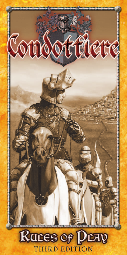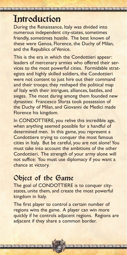# **Introduction**

During the Renaissance, Italy was divided into numerous independent city-states, sometimes friendly, sometimes hostile. The best known of these were Genoa, Florence, the Duchy of Milan, and the Republics of Venice.

This is the era in which the Condottieri appear: leaders of mercenary armies who offered their services to the most powerful cities. Formidable strategists and highly skilled soldiers, the Condottieri were not content to just hire out their command and their troops; they reshaped the political map of Italy with their intrigues, alliances, battles, and sieges. The most daring among them founded new dynasties: Francesco Sforza took possession of the Duchy of Milan, and Giovanni de Medici made Florence his kingdom.

In CONDOTTIERE, you relive this incredible age, when anything seemed possible for a handful of determined men. In this game, you represent a Condottiere trying to conquer the most famous cities in Italy. But be careful, you are not alone! You must take into account the ambitions of the other Condottieri. The strength of your army alone will not suffice: You must use diplomacy if you want a chance at victory.

## Object of the Game

The goal of CONDOTTIERE is to conquer citystates, unite them, and create the most powerful kingdom in Italy.

The first player to control a certain number of regions wins the game. A player can win more quickly if he controls adjacent regions. Regions are adjacent if they share a common border.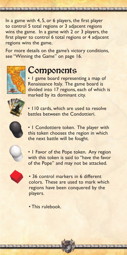In a game with 4, 5, or 6 players, the first player to control 5 total regions *or* 3 adjacent regions wins the game. In a game with 2 or 3 players, the first player to control 6 total regions *or* 4 adjacent regions wins the game.

For more details on the game's victory conditions, see "Winning the Game" on page 16.



# Components

• 1 game board representing a map of Renaissance Italy. The game board is divided into 17 regions, each of which is marked by its dominant city.



• 110 cards, which are used to resolve battles between the Condottieri.



• 1 Condottiere token. The player with this token chooses the region in which the next battle will be fought.



• 1 Favor of the Pope token. Any region with this token is said to "have the favor of the Pope" and may not be attacked.



• 36 control markers in 6 different colors. These are used to mark which regions have been conquered by the players.

3

• This rulebook.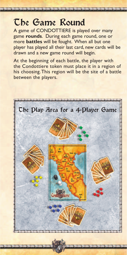# The Game Round

A game of CONDOTTIERE is played over many game **rounds**. During each game round, one or more **battles** will be fought. When all but one player has played all their last card, new cards will be drawn and a new game round will begin.

At the beginning of each battle, the player with the Condottiere token must place it in a region of his choosing. This region will be the site of a battle between the players.

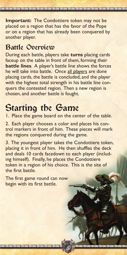**Important:** The Condottiere token may not be placed on a region that has the favor of the Pope or on a region that has already been conquered by another player.

## Battle Overview

During each battle, players take **turns** placing cards faceup on the table in front of them, forming their **battle lines**. A player's battle line shows the forces he will take into battle. Once all players are done placing cards, the battle is concluded, and the player with the highest total strength in his battle line conquers the contested region. Then a new region is chosen, and another battle is fought.

# Starting the Game

1. Place the game board on the center of the table.

2. Each player chooses a color and places his control markers in front of him. These pieces will mark the regions conquered during the game.

3. The youngest player takes the Condottiere token, placing it in front of him. He then shuffles the deck and deals 10 cards facedown to each player (including himself). Finally, he places the Condottiere token in a region of his choice. This is the site of the first battle.

5

The first game round can now begin with its first battle.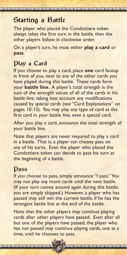# Starting a Battle

The player who placed the Condottiere token always takes the first turn in the battle, then the other players follow in clockwise order.

On a player's turn, he must either **play a card** or **pass**.

## Play a Card

If you choose to play a card, place **one** card faceup in front of you, next to any of the other cards you have played during this battle. These cards form your **battle line**. A player's total strength is the sum of the strength values of all of the cards in his battle line, taking into account any modifications caused by special cards (see "Card Explanations" on pages 10-15). You may play any type of card as the first card in your battle line, even a special card.

After you play a card, announce the total strength of your battle line.

Note that players are never required to play a card in a battle. That is, a player can choose pass on any of his turns. Even the player who placed the Condottiere token can decide to pass his turn at the beginning of a battle.

### Pass

If you choose to pass, simply announce "I pass." You may not play any more cards until the next battle. (If your turn comes around again during this battle, you are simply skipped.) However, a player who has passed may still win the current battle, if he has the strongest battle line at the end of the battle.

Note that the other players may continue playing cards after other players have passed. Even after all but one of the players have passed, the player who has not passed may continue playing cards, one at a time, until he chooses to pass.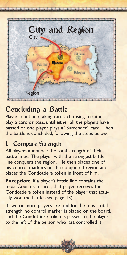

# Concluding a Battle

Players continue taking turns, choosing to either play a card or pass, until either all the players have passed or one player plays a "Surrender" card. Then the battle is concluded, following the steps below.

## 1. Compare Strength

All players announce the total strength of their battle lines. The player with the strongest battle line conquers the region. He then places one of his control markers on the conquered region and places the Condottiere token in front of him.

**Exception:** If a player's battle line contains the most Courtesan cards, that player receives the Condottiere token instead of the player that actually won the battle (see page 13).

If two or more players are tied for the most total strength, no control marker is placed on the board, and the Condottiere token is passed to the player to the left of the person who last controlled it.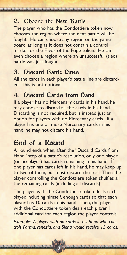### 2. Choose the New Battle

The player who has the Condottiere token now chooses the region where the next battle will be fought. He can choose any region on the game board, as long as it does not contain a control marker or the Favor of the Pope token. He can even choose a region where an unsuccessful (tied) battle was just fought.

#### 3. Discard Battle Lines

All the cards in each player's battle line are discarded. This is not optional.

#### 4. Discard Cards from Dand

If a player has no Mercenary cards in his hand, he may choose to discard all the cards in his hand. Discarding is not required, but is instead just an option for players with no Mercenary cards. If a player has one or more Mercenary cards in his hand, he may not discard his hand.

## End of a Round

A round ends when, after the "Discard Cards from Hand" step of a battle's resolution, only one player (or no player) has cards remaining in his hand. If one player has cards left in his hand, he may keep up to two of them, but must discard the rest. Then the player controlling the Condottiere token shuffles all the remaining cards (including all discards).

The player with the Condottiere token deals each player, including himself, enough cards so that each player has 10 cards in his hand. Then, the player with the Condottiere token deals each player I additional card for each region the player controls.

*Example: A player with no cards in his hand who controls Parma, Venezia, and Siena would receive 13 cards.*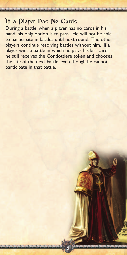#### If a Dlayer Das No Cards

During a battle, when a player has no cards in his hand, his only option is to pass. He will not be able to participate in battles until next round. The other players continue resolving battles without him. If a player wins a battle in which he plays his last card, he still receives the Condottiere token and chooses the site of the next battle, even though he cannot participate in that battle.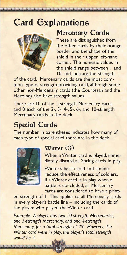# Card Explanations



### Mercenary Cards

These are distinguished from the other cards by their orange border and the shape of the shield in their upper left-hand corner. The numeric values in the shield range between 1 and 10, and indicate the strength

of the card. Mercenary cards are the most common type of strength-providing card, although some other non-Mercenary cards (the Courtesan and the Heroine) also have strength values.

There are 10 of the 1-strength Mercenary cards and 8 each of the 2-, 3-, 4-, 5-, 6-, and 10-strength Mercenary cards in the deck.

# Special Cards

The number in parentheses indicates how many of each type of special card there are in the deck.



### Winter (3)

When a Winter card is played, immediately discard all Spring cards in play.

Winter's harsh cold and famine reduce the effectiveness of soldiers. If a Winter card is in play when a battle is concluded, all Mercenary cards are considered to have a print-

ed strength of 1. This applies to all Mercenary cards in every player's battle line – including the cards of the player who played the Winter card.

*Example: A player has two 10-strength Mercenaries, one 5-strength Mercenary, and one 4-strength Mercenary, for a total strength of 29. However, if a Winter card were in play, the player's total strength would be 4.*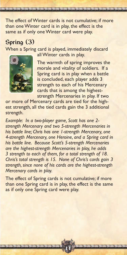The effect of Winter cards is not cumulative; if more than one Winter card is in play, the effect is the same as if only one Winter card were play.

## Spring (3)

When a Spring card is played, immediately discard



all Winter cards in play.

The warmth of spring improves the morale and vitality of soldiers. If a Spring card is in play when a battle is concluded, each player adds 3 strength to each of his Mercenary cards that is among the higheststrength Mercenaries in play. If two

or more of Mercenary cards are tied for the highest strength, all the tied cards gain the 3 additional strength.

*Example: In a two-player game, Scott has one 2 strength Mercenary and two 5-strength Mercenaries in his battle line; Chris has one 1-strength Mercenary, one 4-strength Mercenary, one Heroine, and a Spring card in his battle line. Because Scott's 5-strength Mercenaries are the highest-strength Mercenaries in play, he adds 3 strength to each of them, for a total strength of 18. Chris's total strength is 15. None of Chris's cards gain 3 strength, since none of his cards are the highest-strength Mercenary cards in play.*

The effect of Spring cards is not cumulative; if more than one Spring card is in play, the effect is the same as if only one Spring card were play.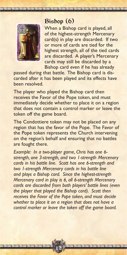### Bishop (6)



When a Bishop card is played, all of the highest-strength Mercenary card(s) in play are discarded. If two or more of cards are tied for the highest strength, all of the tied cards are discarded. A player's Mercenary cards may still be discarded by a Bishop card even if he has already

passed during that battle. The Bishop card is discarded after it has been played and its effects have been resolved.

The player who played the Bishop card then receives the Favor of the Pope token, and must immediately decide whether to place it on a region that does not contain a control marker or leave the token off the game board.

The Condottiere token may not be placed on any region that has the favor of the Pope. The Favor of the Pope token represents the Church intervening on the region's behalf and ensuring that no battles are fought there.

*Example: In a two-player game, Chris has one 6 strength, one 3-strength, and two 1-strength Mercenary cards in his battle line. Scott has one 6-strength and two 1-strength Mercenary cards in his battle line and plays a Bishop card. Since the highest-strength Mercenary card in play is 6, all 6-strength Mercenary cards are discarded from both players' battle lines (even the player that played the Bishop card). Scott then receives the Favor of the Pope token, and must decide whether to place it on a region that does not have a control marker or leave the token off the game board.*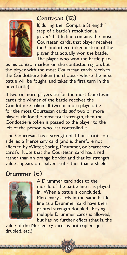

### Courtesan (12)

If, during the "Compare Strength" step of a battle's resolution, a player's battle line contains the most Courtesan cards, that player receives the Condottiere token instead of the player that actually won the battle. The player who won the battle plac-

es his control marker on the contested region, but the player with the most Courtesan cards receives the Condottiere token (he chooses where the next battle will be fought, and takes the first turn in the next battle).

If two or more players tie for the most Courtesan cards, the winner of the battle receives the Condottiere token. If two or more players tie for the most Courtesan cards *and* two or more players tie for the most total strength, then the Condottiere token is passed to the player to the left of the person who last controlled it.

The Courtesan has a strength of 1 but is **not** considered a Mercenary card (and is therefore not affected by Winter, Spring, Drummer, or Scarecrow cards). Note that the Courtesan card has a red rather than an orange border and that its strength value appears on a silver seal rather than a shield.

### Drummer (6)



A Drummer card adds to the morale of the battle line it is played in. When a battle is concluded, Mercenary cards in the same battle line as a Drummer card have their printed strength doubled. Playing multiple Drummer cards is allowed, but has no further effect (that is, the

value of the Mercenary cards is not tripled, quadrupled, etc.).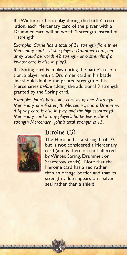If a Winter card is in play during the battle's resolution, each Mercenary card of the player with a Drummer card will be worth 2 strength instead of 1 strength.

*Example: Carrie has a total of 21 strength from three Mercenary cards. If she plays a Drummer card., her army would be worth 42 strength, or 6 strenght if a Winter card is also in play3.*

If a Spring card is in play during the battle's resolution, a player with a Drummer card in his battle line should double the printed strength of his Mercenaries *before* adding the additional 3 strength granted by the Spring card.

*Example: John's battle line consists of one 2-strength Mercenary, one 4-strength Mercenary, and a Drummer. A Spring card is also in play, and the highest-strength Mercenary card in any player's battle line is the 4 strength Mercenary. John's total strength is 15*.



#### Deroine (3)

14

The Heroine has a strength of 10, but is **not** considered a Mercenary card (and is therefore not affected by Winter, Spring, Drummer, or Scarecrow cards). Note that the Heroine card has a red rather than an orange border and that its strength value appears on a silver seal rather than a shield.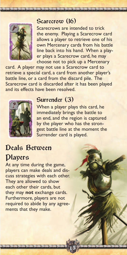

#### Scarecrow (16)

Scarecrows are intended to trick the enemy. Playing a Scarecrow card allows a player to retrieve one of his own Mercenary cards from his battle line back into his hand. When a player plays a Scarecrow card, he may choose not to pick up a Mercenary

card. A player may not use a Scarecrow card to retrieve a special card, a card from another player's battle line, or a card from the discard pile. The Scarecrow card is discarded after it has been played and its effects have been resolved.



#### Surrender (3)

When a player plays this card, he immediately brings the battle to an end, and the region is captured by the player who has the strongest battle line at the moment the Surrender card is played.

15

# Deals Between Players

At any time during the game, players can make deals and discuss strategies with each other. They are allowed to show each other their cards, but they may **not** exchange cards. Furthermore, players are not required to abide by any agreements that they make.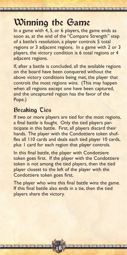# Winning the Game

In a game with 4, 5, or 6 players, the game ends as soon as, at the end of the "Compare Strength" step of a battle's resolution, a player controls 5 total regions *or* 3 adjacent regions. In a game with 2 or 3 players, the victory condition is 6 total regions *or* 4 adjacent regions.

If, after a battle is concluded, all the available regions on the board have been conquered without the above victory conditions being met, the player that controls the most regions wins. (This may happen when all regions except one have been captured, and the uncaptured region has the favor of the Pope.)

### Breaking Ties

If two or more players are tied for the most regions, a final battle is fought. Only the tied players participate in this battle. First, all players discard their hands. The player with the Condottiere token shuffles all 110 cards and deals each tied player 10 cards, plus 1 card for each region that player controls.

In this final battle, the player with Condottiere token goes first. If the player with the Condottiere token is not among the tied players, then the tied player closest to the left of the player with the Condottiere token goes first.

The player who wins this final battle wins the game. If this final battle also ends in a tie, then the tied players share the victory.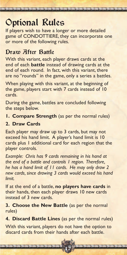# Optional Rules

If players wish to have a longer or more detailed game of CONDOTTIERE, they can incorporate one or more of the following rules.

## Draw After Battle

With this variant, each player draws cards at the end of each **battle** instead of drawing cards at the end of each round. In fact, with this variant, there are no "rounds" in the game, only a series a battles.

When playing with this variant, at the beginning of the game, players start with 7 cards instead of 10 cards.

During the game, battles are concluded following the steps below.

**1. Compare Strength** (as per the normal rules)

#### **2. Draw Cards**

Each player may draw up to 3 cards, but may not exceed his hand limit. A player's hand limit is 10 cards plus 1 additional card for each region that the player controls.

*Example: Chris has 9 cards remaining in his hand at the end of a battle and controls 1 region. Therefore, he has a hand limit of 11 cards. He may only draw 2 new cards, since drawing 3 cards would exceed his hand limit.*

If at the end of a battle, **no players have cards** in their hands, then each player draws 10 new cards instead of 3 new cards.

**3. Choose the New Battle** (as per the normal rules)

**4. Discard Battle Lines** (as per the normal rules)

With this variant, players do not have the option to discard cards from their hands after each battle.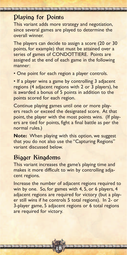This variant adds more strategy and negotiation, since several games are played to determine the overall winner.

The players can decide to assign a score (20 or 30 points, for example) that must be attained over a series of games of CONDOTTIERE. Points are assigned at the end of each game in the following manner:

• One point for each region a player controls.

• If a player wins a game by controlling 3 adjacent regions (4 adjacent regions with 2 or 3 players), he is awarded a bonus of 5 points in addition to the points scored for each region.

Continue playing games until one or more players reach or exceed the designated score. At that point, the player with the most points wins. (If players are tied for points, fight a final battle as per the normal rules.)

**Note:** When playing with this option, we suggest that you do not also use the "Capturing Regions" variant discussed below.

## Bigger Kingdoms

This variant increases the game's playing time and makes it more difficult to win by controlling adjacent regions.

Increase the number of adjacent regions required to win by one. So, for games with 4, 5, or 6 players, 4 adjacent regions are required for victory (but a player still wins if he controls 5 total regions). In 2- or 3-player game, 5 adjacent regions or 6 total regions are required for victory.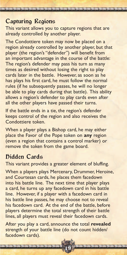This variant allows you to capture regions that are already controlled by another player.

The Condottiere token may now be placed on a region already controlled by another player, but that player (the region's "defender") will benefit from an important advantage in the course of the battle: The region's defender may pass his turn as many times as desired without losing the right to play cards later in the battle. However, as soon as he has plays his first card, he must follow the normal rules (if he subsequently passes, he will no longer be able to play cards during that battle). This ability allows a region's defender to play cards even after all the other players have passed their turns.

If the battle ends in a tie, the region's defender keeps control of the region and also receives the Condottiere token.

When a player plays a Bishop card, he may either place the Favor of the Pope token on **any** region (even a region that contains a control marker) or remove the token from the game board.

### **Fidden Cards**

This variant provides a greater element of bluffing.

When a players plays Mercenary, Drummer, Heroine, and Courtesan cards, he places them facedown into his battle line. The next time that player plays a card, he turns up any facedown card in his battle line. However, if a player with a facedown card in his battle line passes, he may choose not to reveal his facedown card. At the end of the battle, before players determine the total strength of their battle lines, all players must reveal their facedown cards.

After you play a card, announce the total **revealed** strength of your battle line (do not count hidden/ facedown cards).